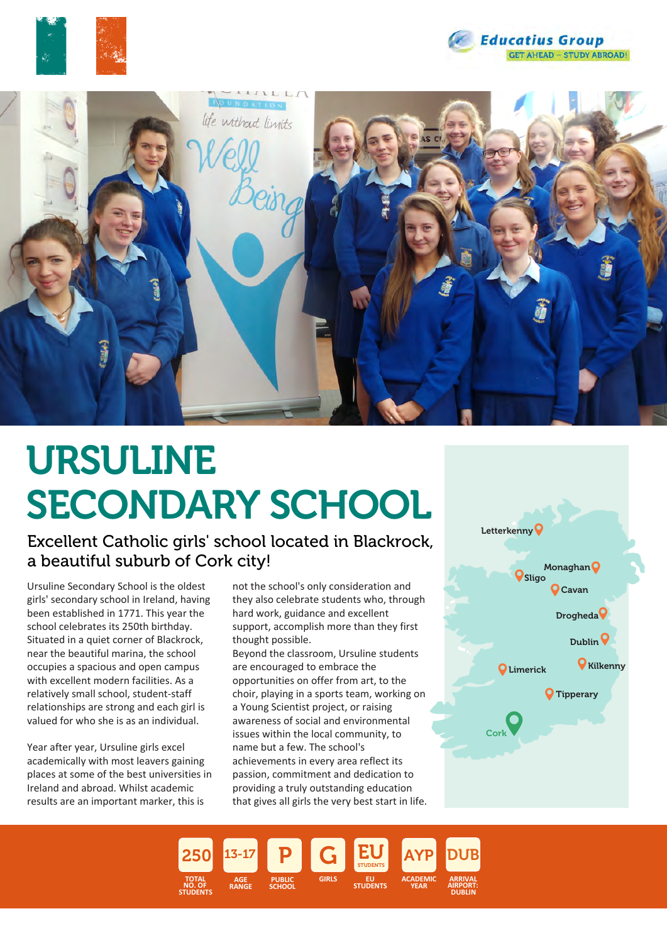





# URSULINE SECONDARY SCHOOL

Excellent Catholic girls' school located in Blackrock, a beautiful suburb of Cork city!

Ursuline Secondary School is the oldest girls' secondary school in Ireland, having been established in 1771. This year the school celebrates its 250th birthday. Situated in a quiet corner of Blackrock, near the beautiful marina, the school occupies a spacious and open campus with excellent modern facilities. As a relatively small school, student-staff relationships are strong and each girl is valued for who she is as an individual.

Year after year, Ursuline girls excel academically with most leavers gaining places at some of the best universities in Ireland and abroad. Whilst academic results are an important marker, this is

not the school's only consideration and they also celebrate students who, through hard work, guidance and excellent support, accomplish more than they first thought possible.

Beyond the classroom, Ursuline students are encouraged to embrace the opportunities on offer from art, to the choir, playing in a sports team, working on a Young Scientist project, or raising awareness of social and environmental issues within the local community, to name but a few. The school's achievements in every area reflect its passion, commitment and dedication to providing a truly outstanding education that gives all girls the very best start in life.



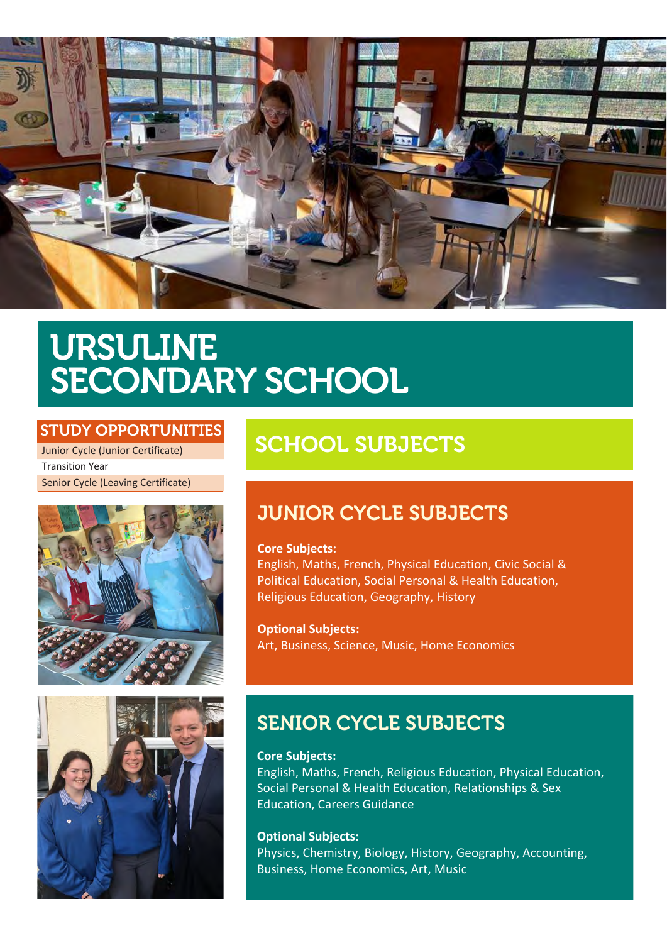

## URSULINE SECONDARY SCHOOL

### STUDY OPPORTUNITIES

Junior Cycle (Junior Certificate) Transition Year Senior Cycle (Leaving Certificate)





## SCHOOL SUBJECTS

### JUNIOR CYCLE SUBJECTS

### **Core Subjects:**

English, Maths, French, Physical Education, Civic Social & Political Education, Social Personal & Health Education, Religious Education, Geography, History

**Optional Subjects:** Art, Business, Science, Music, Home Economics

### SENIOR CYCLE SUBJECTS

**Core Subjects:**

English, Maths, French, Religious Education, Physical Education, Social Personal & Health Education, Relationships & Sex Education, Careers Guidance

### **Optional Subjects:** Physics, Chemistry, Biology, History, Geography, Accounting, Business, Home Economics, Art, Music